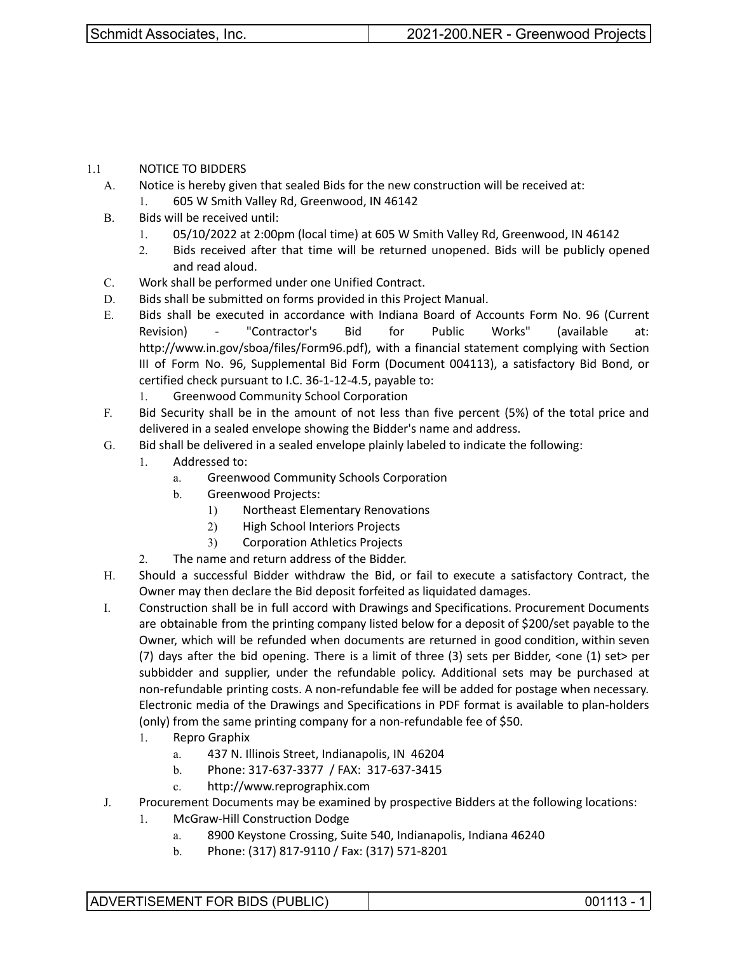1.1 NOTICE TO BIDDERS

- A. Notice is hereby given that sealed Bids for the new construction will be received at: 1. 605 W Smith Valley Rd, Greenwood, IN 46142
- B. Bids will be received until:
	- 1. 05/10/2022 at 2:00pm (local time) at 605 W Smith Valley Rd, Greenwood, IN 46142
	- 2. Bids received after that time will be returned unopened. Bids will be publicly opened and read aloud.
- C. Work shall be performed under one Unified Contract.
- D. Bids shall be submitted on forms provided in this Project Manual.
- E. Bids shall be executed in accordance with Indiana Board of Accounts Form No. 96 (Current Revision) - "Contractor's Bid for Public Works" (available at: http://www.in.gov/sboa/files/Form96.pdf), with a financial statement complying with Section III of Form No. 96, Supplemental Bid Form (Document 004113), a satisfactory Bid Bond, or certified check pursuant to I.C. 36-1-12-4.5, payable to:
	- 1. Greenwood Community School Corporation
- F. Bid Security shall be in the amount of not less than five percent (5%) of the total price and delivered in a sealed envelope showing the Bidder's name and address.
- G. Bid shall be delivered in a sealed envelope plainly labeled to indicate the following:
	- 1. Addressed to:
		- a. Greenwood Community Schools Corporation
		- b. Greenwood Projects:
			- 1) Northeast Elementary Renovations
			- 2) High School Interiors Projects
			- 3) Corporation Athletics Projects
	- 2. The name and return address of the Bidder.
- H. Should a successful Bidder withdraw the Bid, or fail to execute a satisfactory Contract, the Owner may then declare the Bid deposit forfeited as liquidated damages.
- I. Construction shall be in full accord with Drawings and Specifications. Procurement Documents are obtainable from the printing company listed below for a deposit of \$200/set payable to the Owner, which will be refunded when documents are returned in good condition, within seven (7) days after the bid opening. There is a limit of three (3) sets per Bidder, <one (1) set> per subbidder and supplier, under the refundable policy. Additional sets may be purchased at non-refundable printing costs. A non-refundable fee will be added for postage when necessary. Electronic media of the Drawings and Specifications in PDF format is available to plan-holders (only) from the same printing company for a non-refundable fee of \$50.
	- 1. Repro Graphix
		- a. 437 N. Illinois Street, Indianapolis, IN 46204
		- b. Phone: 317-637-3377 / FAX: 317-637-3415
		- c. http://www.reprographix.com
- J. Procurement Documents may be examined by prospective Bidders at the following locations:
	- 1. McGraw-Hill Construction Dodge
		- a. 8900 Keystone Crossing, Suite 540, Indianapolis, Indiana 46240
		- b. Phone: (317) 817-9110 / Fax: (317) 571-8201